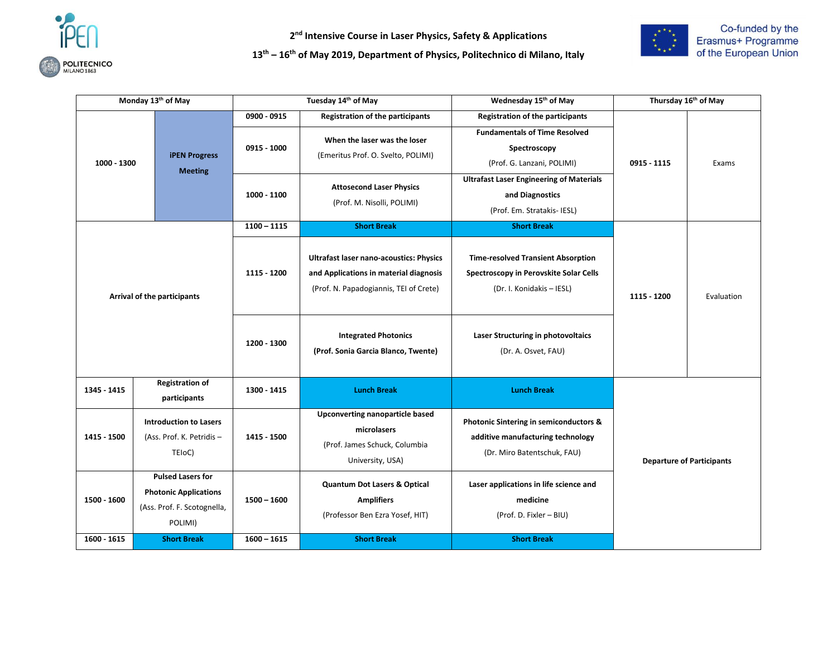

**2 nd Intensive Course in Laser Physics, Safety & Applications** 

**13 th – 16 th of May 2019, Department of Physics, Politechnico di Milano, Italy** 



|             | Monday 13th of May                                                                                 |                              | Tuesday 14th of May                                                                                                                | Wednesday 15th of May                                                                                                         | Thursday 16th of May             |            |
|-------------|----------------------------------------------------------------------------------------------------|------------------------------|------------------------------------------------------------------------------------------------------------------------------------|-------------------------------------------------------------------------------------------------------------------------------|----------------------------------|------------|
| 1000 - 1300 | <b>iPEN Progress</b><br><b>Meeting</b>                                                             | $0900 - 0915$<br>0915 - 1000 | <b>Registration of the participants</b><br>When the laser was the loser<br>(Emeritus Prof. O. Svelto, POLIMI)                      | <b>Registration of the participants</b><br><b>Fundamentals of Time Resolved</b><br>Spectroscopy<br>(Prof. G. Lanzani, POLIMI) | 0915 - 1115                      | Exams      |
|             |                                                                                                    | 1000 - 1100                  | <b>Attosecond Laser Physics</b><br>(Prof. M. Nisolli, POLIMI)                                                                      | <b>Ultrafast Laser Engineering of Materials</b><br>and Diagnostics<br>(Prof. Em. Stratakis- IESL)                             |                                  |            |
|             |                                                                                                    | $1100 - 1115$                | <b>Short Break</b>                                                                                                                 | <b>Short Break</b>                                                                                                            |                                  |            |
|             | Arrival of the participants                                                                        | 1115 - 1200                  | <b>Ultrafast laser nano-acoustics: Physics</b><br>and Applications in material diagnosis<br>(Prof. N. Papadogiannis, TEI of Crete) | <b>Time-resolved Transient Absorption</b><br>Spectroscopy in Perovskite Solar Cells<br>(Dr. I. Konidakis - IESL)              | 1115 - 1200                      | Evaluation |
|             |                                                                                                    | 1200 - 1300                  | <b>Integrated Photonics</b><br>(Prof. Sonia Garcia Blanco, Twente)                                                                 | Laser Structuring in photovoltaics<br>(Dr. A. Osvet, FAU)                                                                     |                                  |            |
| 1345 - 1415 | <b>Registration of</b><br>participants                                                             | 1300 - 1415                  | <b>Lunch Break</b>                                                                                                                 | <b>Lunch Break</b>                                                                                                            |                                  |            |
| 1415 - 1500 | <b>Introduction to Lasers</b><br>(Ass. Prof. K. Petridis -<br>TEIoC)                               | 1415 - 1500                  | Upconverting nanoparticle based<br>microlasers<br>(Prof. James Schuck, Columbia<br>University, USA)                                | Photonic Sintering in semiconductors &<br>additive manufacturing technology<br>(Dr. Miro Batentschuk, FAU)                    | <b>Departure of Participants</b> |            |
| 1500 - 1600 | <b>Pulsed Lasers for</b><br><b>Photonic Applications</b><br>(Ass. Prof. F. Scotognella,<br>POLIMI) | $1500 - 1600$                | <b>Quantum Dot Lasers &amp; Optical</b><br><b>Amplifiers</b><br>(Professor Ben Ezra Yosef, HIT)                                    | Laser applications in life science and<br>medicine<br>(Prof. D. Fixler - BIU)                                                 |                                  |            |
| 1600 - 1615 | <b>Short Break</b>                                                                                 | $1600 - 1615$                | <b>Short Break</b>                                                                                                                 | <b>Short Break</b>                                                                                                            |                                  |            |